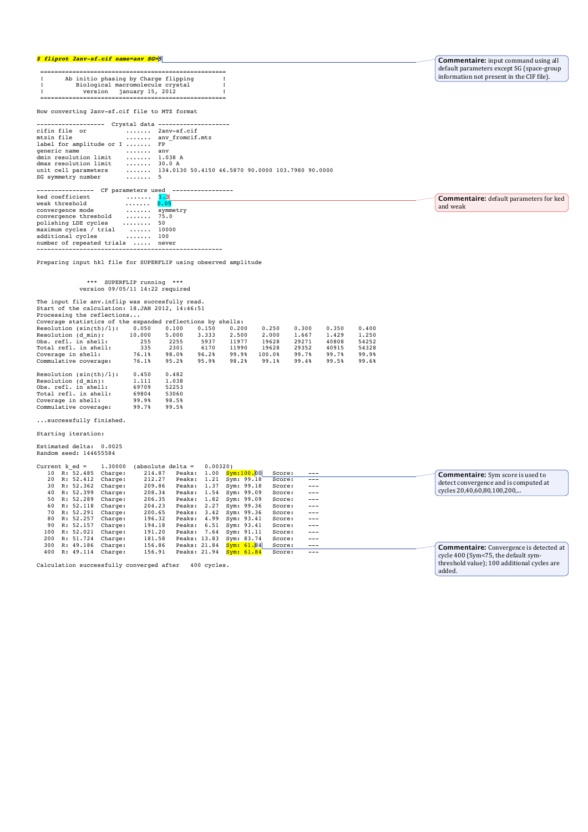### *\$ fliprot 2anv-sf.cif name=anv SG=5*

**Commentaire:** input command using all default parameters except SG (space-group<br>information not present in the CIF file).

**Commentaire:** default parameters for ked

and weak

|  | Ab initio phasing by Charge flipping |  |  |  |  |  |  |
|--|--------------------------------------|--|--|--|--|--|--|
|  | Biological macromolecule crystal     |  |  |  |  |  |  |
|  | version january 15, 2012             |  |  |  |  |  |  |
|  |                                      |  |  |  |  |  |  |

Now converting 2anv-sf.cif file to MTZ format

| --------------------              | Crystal data --------------------                                       |
|-----------------------------------|-------------------------------------------------------------------------|
| cifin file or                     | 2anv-sf.cif                                                             |
| mtzin file                        | any fromcif.mtz                                                         |
| label for amplitude or I  FP      |                                                                         |
| generic name<br>$\dots \dots$ any |                                                                         |
| dmin resolution limit  1.038 A    |                                                                         |
| dmax resolution limit  30.0 A     |                                                                         |
|                                   | unit cell parameters  134.0130 50.4150 46.5870 90.0000 103.7980 90.0000 |
| SG symmetry number  5             |                                                                         |
|                                   |                                                                         |
| ----------------                  | CF parameters used -----------------                                    |
| ked coefficient  1.3              |                                                                         |

| weak threshold                   | $ \ldots 0.05$    |          |
|----------------------------------|-------------------|----------|
| convergence mode                 |                   | symmetry |
| convergence threshold            | $$ 75.0           |          |
| polishing LDE cycles             | .                 | 50       |
| maximum cycles / trial           | $\dots$ . $10000$ |          |
| additional cycles                | 100               |          |
| number of repeated trials  never |                   |          |
|                                  |                   |          |

Preparing input hkl file for SUPERFLIP using observed amplitude

# \*\*\* SUPERFLIP running \*\*\* version 09/05/11 14:22 required

| The input file anv.inflip was succesfully read.            |        |       |       |       |        |       |       |       |
|------------------------------------------------------------|--------|-------|-------|-------|--------|-------|-------|-------|
| Start of the calculation: 18.JAN 2012, 14:46:51            |        |       |       |       |        |       |       |       |
| Processing the reflections                                 |        |       |       |       |        |       |       |       |
| Coverage statistics of the expanded reflections by shells: |        |       |       |       |        |       |       |       |
| Resolution $(sin(th)/1)$ :                                 | 0.050  | 0.100 | 0.150 | 0.200 | 0.250  | 0.300 | 0.350 | 0.400 |
| Resolution (d min):                                        | 10,000 | 5,000 | 3.333 | 2.500 | 2,000  | 1.667 | 1,429 | 1,250 |
| Obs. refl. in shell:                                       | 255    | 2255  | 5937  | 11977 | 19628  | 29271 | 40808 | 54252 |
| Total refl. in shell:                                      | 335    | 2301  | 6170  | 11990 | 19628  | 29352 | 40915 | 54328 |
| Coverage in shell:                                         | 76.1%  | 98.0% | 96.2% | 99.9% | 100.0% | 99.7% | 99.7% | 99.9% |
| Commulative coverage:                                      | 76.1%  | 95.2% | 95.9% | 98.2% | 99.1%  | 99.4% | 99.5% | 99.6% |
| Resolution $(sin(th)/1)$ :                                 | 0.450  | 0.482 |       |       |        |       |       |       |

|                       | <u>.</u> | <u>.</u> |
|-----------------------|----------|----------|
| Resolution (d min):   | 1,111    | 1.038    |
| Obs. refl. in shell:  | 69709    | 52253    |
| Total refl. in shell: | 69804    | 53060    |
| Coverage in shell:    | 99.9%    | 98.5%    |
| Commulative coverage: | 99.7%    | 99.5%    |
|                       |          |          |

### ...successfully finished.

Starting iteration:

# Estimated delta: 0.0025 Random seed: 144655584

| Current $k$ ed = |           | 1.30000           | $(absolute delta =$ |              | 0.00320 |                         |        |       |                                                |
|------------------|-----------|-------------------|---------------------|--------------|---------|-------------------------|--------|-------|------------------------------------------------|
| 10               | R: 52.485 | Charge:           | 214.87              | Peaks: 1.00  |         | Sym:100.00              | Score: | ---   | <b>Commentaire:</b> Sym score is used to       |
| 20               |           | R: 52.412 Charge: | 212.27              | Peaks: 1.21  |         | Sym: 99.18              | Score: | $---$ |                                                |
| 30               |           | R: 52.362 Charge: | 209.86              | Peaks: 1.37  |         | Sym: 99.18              | Score: | $---$ | detect convergence and is computed at          |
| 40               |           | R: 52.399 Charge: | 208.34              |              |         | Peaks: 1.54 Sym: 99.09  | Score: | $---$ | cycles 20,40,60,80,100,200,                    |
| 50               |           | R: 52.289 Charge: | 206.35              |              |         | Peaks: 1.82 Sym: 99.09  | Score: | $---$ |                                                |
| 60               |           | R: 52.118 Charge: | 204.23              | Peaks: 2.27  |         | Sym: 99.36              | Score: | $---$ |                                                |
| 70               |           | R: 52.291 Charge: | 200.65              |              |         | Peaks: 3.42 Sym: 99.36  | Score: | $---$ |                                                |
| 80               |           | R: 52.257 Charge: | 196.32              | Peaks: 4.99  |         | Sym: 93.41              | Score: | $---$ |                                                |
| 90               |           | R: 52.157 Charge: | 194.18              |              |         | Peaks: 6.51 Sym: 93.41  | Score: | $---$ |                                                |
| 100              |           | R: 52.021 Charge: | 191.20              |              |         | Peaks: 7.64 Sym: 91.11  | Score: | $---$ |                                                |
| 200              |           | R: 51.724 Charge: | 181.58              | Peaks: 13.83 |         | Sym: 83.74              | Score: | $---$ |                                                |
| 300              |           | R: 49.186 Charge: | 156.86              |              |         | Peaks: 21.84 Sym: 61.84 | Score: | $---$ | <b>Commentaire:</b> Convergence is detected at |
| 400              | R: 49.114 | Charge:           | 156.91              | Peaks: 21.94 |         | Sym: 61.84              | Score: | ---   | cycle 400 (Sym<75, the default sym-            |

Calculation successfully converged after 400 cycles.

cycle 400 (Sym<75, the default sym-<br>threshold value); 100 additional cycles are added.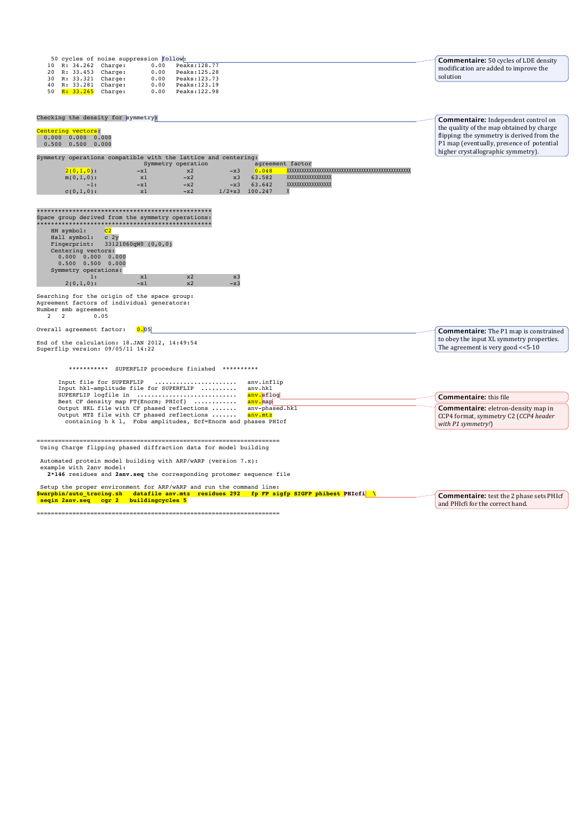| 50 cycles of noise suppression follow:<br>10 R: 34.262 Charge:<br>0.00<br>Peaks: 128.77<br>20 R: 33.453 Charge:<br>0.00<br>Peaks:125.28<br>0.00<br>30 R: 33.321 Charge:<br>Peaks: 123.73<br>40 R: 33.281 Charge:<br>0.00<br>Peaks: 123.19<br>50 R: 33.265 Charge:<br>0.00<br>Peaks: 122.98                                      |                                                                                        | <b>Commentaire:</b> 50 cycles of LDE density<br>modification are added to improve the<br>solution                                                                          |
|---------------------------------------------------------------------------------------------------------------------------------------------------------------------------------------------------------------------------------------------------------------------------------------------------------------------------------|----------------------------------------------------------------------------------------|----------------------------------------------------------------------------------------------------------------------------------------------------------------------------|
| Checking the density for symmetry:                                                                                                                                                                                                                                                                                              |                                                                                        | <b>Commentaire:</b> Independent control on                                                                                                                                 |
| Centering vectors:<br>$0.000$ $0.000$ $0.000$<br>$0.500$ $0.500$ $0.000$                                                                                                                                                                                                                                                        |                                                                                        | the quality of the map obtained by charge<br>flipping: the symmetry is derived from the<br>P1 map (eventually, presence of potential<br>higher crystallographic symmetry). |
| Symmetry operations compatible with the lattice and centering:<br>Symmetry operation                                                                                                                                                                                                                                            | agreement factor                                                                       |                                                                                                                                                                            |
| $2(0,1,0)$ :<br>x2<br>$-x1$<br>$-x3$<br>$m(0,1,0)$ :<br>$-x2$<br>x3<br>x1<br>$-x2$<br>$-x1$<br>$-1:$<br>$-x3$<br>$-x2$<br>$c(0,1,0)$ :<br>x1                                                                                                                                                                                    | 0.048<br>63.582<br>XXXXXXXXXXXXXXXXX<br>xxxxxxxxxxxxxxxx<br>63.642<br>$1/2+x3$ 100.247 |                                                                                                                                                                            |
| Space group derived from the symmetry operations:<br>HM symbol:<br>C <sub>2</sub><br>Hall symbol:<br>c <sub>2y</sub><br>33121060qW0 (0,0,0)<br>Fingerprint:<br>Centering vectors:<br>$0.000$ $0.000$ $0.000$<br>$0.500$ $0.500$ $0.000$<br>Symmetry operations:<br>x1<br>x2<br>x3<br>1:<br>$2(0,1,0)$ :<br>$-x1$<br>x2<br>$-x3$ |                                                                                        |                                                                                                                                                                            |
| Searching for the origin of the space group:<br>Agreement factors of individual generators:<br>Number smb agreement<br>2<br>$\overline{2}$<br>0.05                                                                                                                                                                              |                                                                                        |                                                                                                                                                                            |
| Overall agreement factor:<br>0.05                                                                                                                                                                                                                                                                                               |                                                                                        | <b>Commentaire:</b> The P1 map is constrained                                                                                                                              |
| End of the calculation: 18.JAN 2012, 14:49:54<br>Superflip version: 09/05/11 14:22                                                                                                                                                                                                                                              |                                                                                        | to obey the input XL symmetry properties.<br>The agreement is very good $<<5-10$                                                                                           |
| ***********<br>SUPERFLIP procedure finished **********                                                                                                                                                                                                                                                                          |                                                                                        |                                                                                                                                                                            |
| Input file for SUPERFLIP<br>Input hkl-amplitude file for SUPERFLIP<br>SUPERFLIP logfile in                                                                                                                                                                                                                                      | anv.inflip<br>anv.hkl<br>anv.sflog                                                     |                                                                                                                                                                            |
| Best CF density map FT{Enorm; PHIcf}                                                                                                                                                                                                                                                                                            | anv.map                                                                                | <b>Commentaire:</b> this file                                                                                                                                              |
| Output HKL file with CF phased reflections<br>Output MTZ file with CF phased reflections<br>containing h k l, Fobs amplitudes, Ecf=Enorm and phases PHIcf                                                                                                                                                                       | anv-phased.hkl<br>anv.mtz                                                              | <b>Commentaire:</b> eletron-density map in<br>CCP4 format, symmetry C2 (CCP4 header<br>with P1 symmetry!)                                                                  |
| Using Charge flipping phased diffraction data for model building                                                                                                                                                                                                                                                                |                                                                                        |                                                                                                                                                                            |
| Automated protein model building with ARP/wARP (version 7.x):<br>example with 2anv model:<br>2*146 residues and 2anv.seq the corresponding protomer sequence file                                                                                                                                                               |                                                                                        |                                                                                                                                                                            |
| Setup the proper environment for ARP/wARP and run the command line:                                                                                                                                                                                                                                                             |                                                                                        |                                                                                                                                                                            |
| \$warpbin/auto_tracing.sh datafile anv.mtz residues 292 fp FP sigfp SIGFP phibest PHIcfi \<br>seqin 2anv.seq cgr 2 buildingcycles 5                                                                                                                                                                                             |                                                                                        | <b>Commentaire:</b> test the 2 phase sets PHIcf<br>and PHIcfi for the correct hand                                                                                         |

====================================================================

**Commentaire:** test the 2 phase sets PHIcf and PHIcfi for the correct hand.